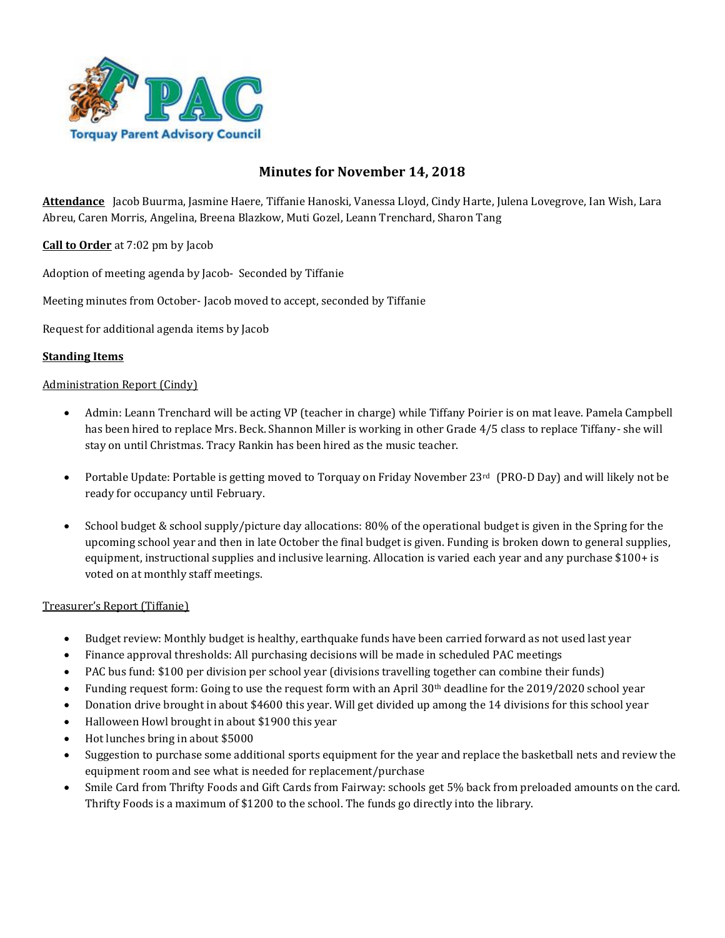

# **Minutes for November 14, 2018**

**Attendance** Jacob Buurma, Jasmine Haere, Tiffanie Hanoski, Vanessa Lloyd, Cindy Harte, Julena Lovegrove, Ian Wish, Lara Abreu, Caren Morris, Angelina, Breena Blazkow, Muti Gozel, Leann Trenchard, Sharon Tang

**Call to Order** at 7:02 pm by Jacob

Adoption of meeting agenda by Jacob- Seconded by Tiffanie

Meeting minutes from October- Jacob moved to accept, seconded by Tiffanie

Request for additional agenda items by Jacob

# **Standing Items**

# Administration Report (Cindy)

- Admin: Leann Trenchard will be acting VP (teacher in charge) while Tiffany Poirier is on mat leave. Pamela Campbell has been hired to replace Mrs. Beck. Shannon Miller is working in other Grade 4/5 class to replace Tiffany- she will stay on until Christmas. Tracy Rankin has been hired as the music teacher.
- Portable Update: Portable is getting moved to Torquay on Friday November 23<sup>rd</sup> (PRO-D Day) and will likely not be ready for occupancy until February.
- School budget & school supply/picture day allocations: 80% of the operational budget is given in the Spring for the upcoming school year and then in late October the final budget is given. Funding is broken down to general supplies, equipment, instructional supplies and inclusive learning. Allocation is varied each year and any purchase \$100+ is voted on at monthly staff meetings.

# Treasurer's Report (Tiffanie)

- Budget review: Monthly budget is healthy, earthquake funds have been carried forward as not used last year
- Finance approval thresholds: All purchasing decisions will be made in scheduled PAC meetings
- PAC bus fund: \$100 per division per school year (divisions travelling together can combine their funds)
- Funding request form: Going to use the request form with an April 30<sup>th</sup> deadline for the 2019/2020 school year
- Donation drive brought in about \$4600 this year. Will get divided up among the 14 divisions for this school year
- Halloween Howl brought in about \$1900 this year
- Hot lunches bring in about \$5000
- Suggestion to purchase some additional sports equipment for the year and replace the basketball nets and review the equipment room and see what is needed for replacement/purchase
- Smile Card from Thrifty Foods and Gift Cards from Fairway: schools get 5% back from preloaded amounts on the card. Thrifty Foods is a maximum of \$1200 to the school. The funds go directly into the library.